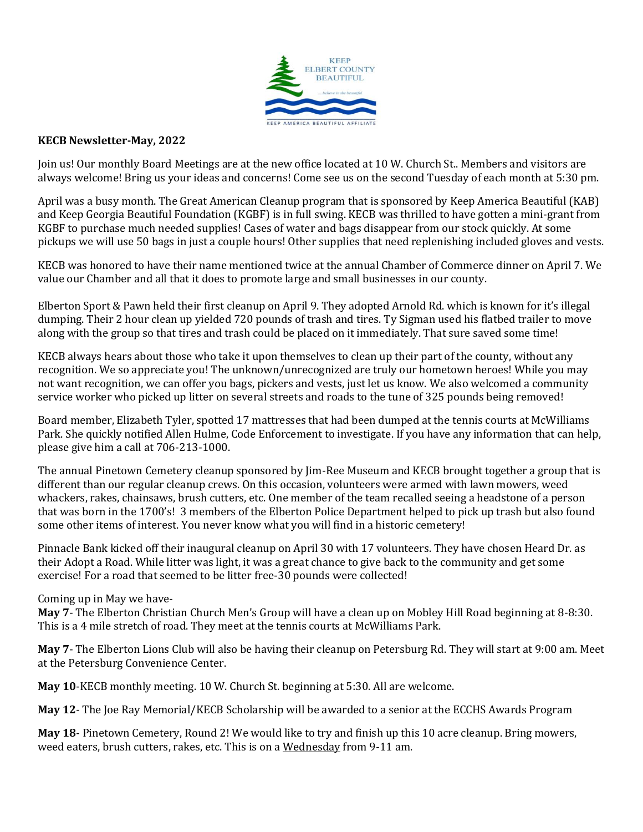

## **KECB Newsletter-May, 2022**

Join us! Our monthly Board Meetings are at the new office located at 10 W. Church St.. Members and visitors are always welcome! Bring us your ideas and concerns! Come see us on the second Tuesday of each month at 5:30 pm.

April was a busy month. The Great American Cleanup program that is sponsored by Keep America Beautiful (KAB) and Keep Georgia Beautiful Foundation (KGBF) is in full swing. KECB was thrilled to have gotten a mini-grant from KGBF to purchase much needed supplies! Cases of water and bags disappear from our stock quickly. At some pickups we will use 50 bags in just a couple hours! Other supplies that need replenishing included gloves and vests.

KECB was honored to have their name mentioned twice at the annual Chamber of Commerce dinner on April 7. We value our Chamber and all that it does to promote large and small businesses in our county.

Elberton Sport & Pawn held their first cleanup on April 9. They adopted Arnold Rd. which is known for it's illegal dumping. Their 2 hour clean up yielded 720 pounds of trash and tires. Ty Sigman used his flatbed trailer to move along with the group so that tires and trash could be placed on it immediately. That sure saved some time!

KECB always hears about those who take it upon themselves to clean up their part of the county, without any recognition. We so appreciate you! The unknown/unrecognized are truly our hometown heroes! While you may not want recognition, we can offer you bags, pickers and vests, just let us know. We also welcomed a community service worker who picked up litter on several streets and roads to the tune of 325 pounds being removed!

Board member, Elizabeth Tyler, spotted 17 mattresses that had been dumped at the tennis courts at McWilliams Park. She quickly notified Allen Hulme, Code Enforcement to investigate. If you have any information that can help, please give him a call at 706-213-1000.

The annual Pinetown Cemetery cleanup sponsored by Jim-Ree Museum and KECB brought together a group that is different than our regular cleanup crews. On this occasion, volunteers were armed with lawn mowers, weed whackers, rakes, chainsaws, brush cutters, etc. One member of the team recalled seeing a headstone of a person that was born in the 1700's! 3 members of the Elberton Police Department helped to pick up trash but also found some other items of interest. You never know what you will find in a historic cemetery!

Pinnacle Bank kicked off their inaugural cleanup on April 30 with 17 volunteers. They have chosen Heard Dr. as their Adopt a Road. While litter was light, it was a great chance to give back to the community and get some exercise! For a road that seemed to be litter free-30 pounds were collected!

## Coming up in May we have-

**May 7**- The Elberton Christian Church Men's Group will have a clean up on Mobley Hill Road beginning at 8-8:30. This is a 4 mile stretch of road. They meet at the tennis courts at McWilliams Park.

**May 7**- The Elberton Lions Club will also be having their cleanup on Petersburg Rd. They will start at 9:00 am. Meet at the Petersburg Convenience Center.

**May 10**-KECB monthly meeting. 10 W. Church St. beginning at 5:30. All are welcome.

**May 12**- The Joe Ray Memorial/KECB Scholarship will be awarded to a senior at the ECCHS Awards Program

**May 18**- Pinetown Cemetery, Round 2! We would like to try and finish up this 10 acre cleanup. Bring mowers, weed eaters, brush cutters, rakes, etc. This is on a Wednesday from 9-11 am.